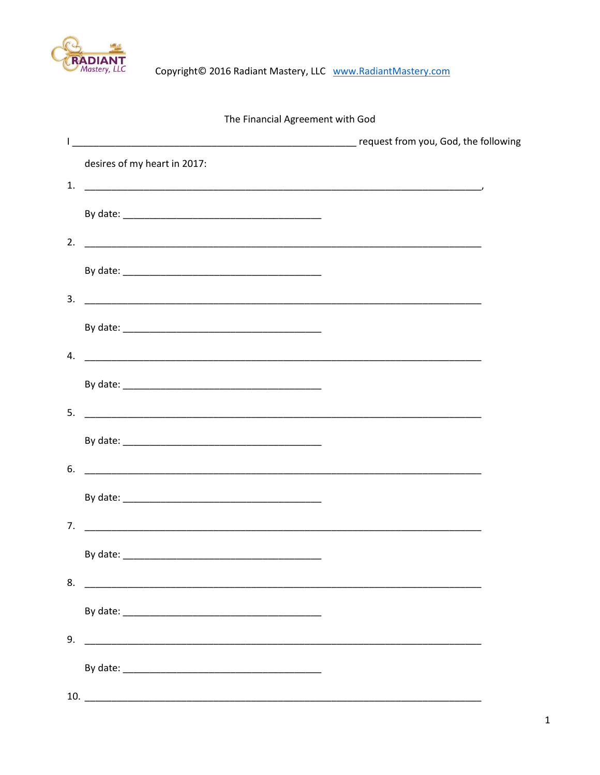

Copyright© 2016 Radiant Mastery, LLC www.RadiantMastery.com

|     | The Financial Agreement with God |  |  |
|-----|----------------------------------|--|--|
|     |                                  |  |  |
|     | desires of my heart in 2017:     |  |  |
|     |                                  |  |  |
|     |                                  |  |  |
| 2.  |                                  |  |  |
|     |                                  |  |  |
| 3.  |                                  |  |  |
|     |                                  |  |  |
|     |                                  |  |  |
| 4.  |                                  |  |  |
|     |                                  |  |  |
| 5.  |                                  |  |  |
|     |                                  |  |  |
| 6.  |                                  |  |  |
|     |                                  |  |  |
|     |                                  |  |  |
|     |                                  |  |  |
|     | $8.$ $\overline{\phantom{a}}$    |  |  |
|     |                                  |  |  |
|     |                                  |  |  |
| 9.  |                                  |  |  |
|     |                                  |  |  |
| 10. |                                  |  |  |